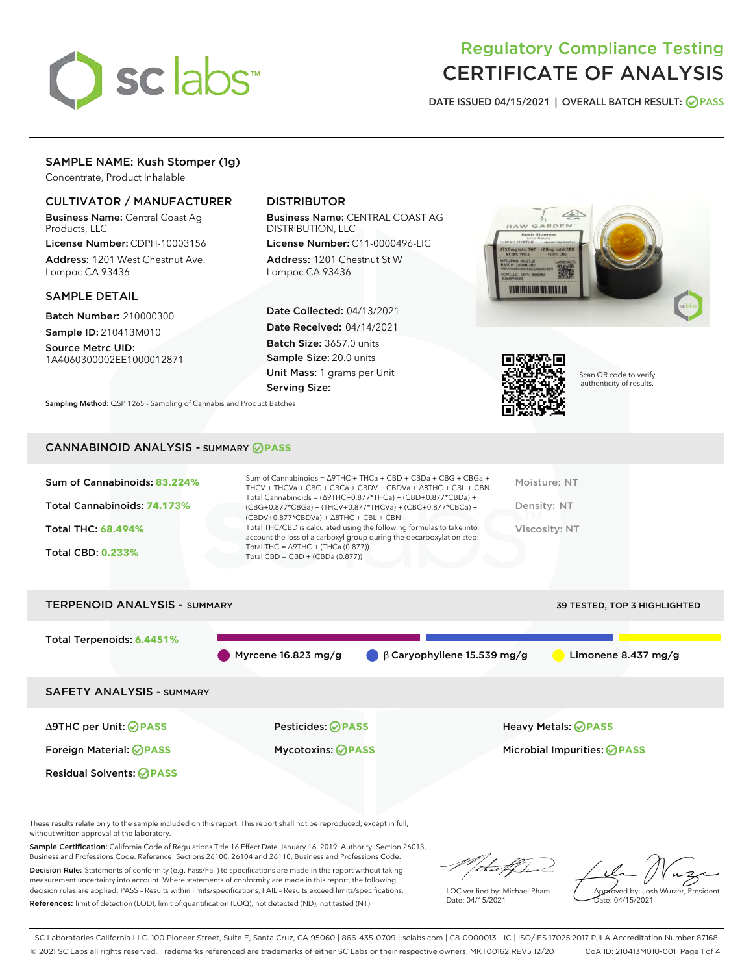

# Regulatory Compliance Testing CERTIFICATE OF ANALYSIS

DATE ISSUED 04/15/2021 | OVERALL BATCH RESULT: @ PASS

# SAMPLE NAME: Kush Stomper (1g)

Concentrate, Product Inhalable

## CULTIVATOR / MANUFACTURER

Business Name: Central Coast Ag Products, LLC

License Number: CDPH-10003156 Address: 1201 West Chestnut Ave. Lompoc CA 93436

#### SAMPLE DETAIL

Batch Number: 210000300 Sample ID: 210413M010

Source Metrc UID:

1A4060300002EE1000012871

# DISTRIBUTOR

Business Name: CENTRAL COAST AG DISTRIBUTION, LLC

License Number: C11-0000496-LIC Address: 1201 Chestnut St W Lompoc CA 93436

Date Collected: 04/13/2021 Date Received: 04/14/2021 Batch Size: 3657.0 units Sample Size: 20.0 units Unit Mass: 1 grams per Unit Serving Size:





Scan QR code to verify authenticity of results.

Sampling Method: QSP 1265 - Sampling of Cannabis and Product Batches

## CANNABINOID ANALYSIS - SUMMARY **PASS**

| Sum of Cannabinoids: 83.224% | Sum of Cannabinoids = $\triangle$ 9THC + THCa + CBD + CBDa + CBG + CBGa +<br>THCV + THCVa + CBC + CBCa + CBDV + CBDVa + $\Delta$ 8THC + CBL + CBN<br>Total Cannabinoids = $(\Delta 9THC + 0.877*THCa) + (CBD + 0.877*CBDa) +$ | Moisture: NT  |
|------------------------------|-------------------------------------------------------------------------------------------------------------------------------------------------------------------------------------------------------------------------------|---------------|
| Total Cannabinoids: 74.173%  | (CBG+0.877*CBGa) + (THCV+0.877*THCVa) + (CBC+0.877*CBCa) +<br>$(CBDV+0.877*CBDVa) + \Delta 8THC + CBL + CBN$                                                                                                                  | Density: NT   |
| Total THC: 68.494%           | Total THC/CBD is calculated using the following formulas to take into<br>account the loss of a carboxyl group during the decarboxylation step:                                                                                | Viscosity: NT |
| <b>Total CBD: 0.233%</b>     | Total THC = $\triangle$ 9THC + (THCa (0.877))<br>Total CBD = $CBD + (CBDa (0.877))$                                                                                                                                           |               |
|                              |                                                                                                                                                                                                                               |               |



These results relate only to the sample included on this report. This report shall not be reproduced, except in full, without written approval of the laboratory.

Sample Certification: California Code of Regulations Title 16 Effect Date January 16, 2019. Authority: Section 26013, Business and Professions Code. Reference: Sections 26100, 26104 and 26110, Business and Professions Code.

Decision Rule: Statements of conformity (e.g. Pass/Fail) to specifications are made in this report without taking measurement uncertainty into account. Where statements of conformity are made in this report, the following decision rules are applied: PASS – Results within limits/specifications, FAIL – Results exceed limits/specifications. References: limit of detection (LOD), limit of quantification (LOQ), not detected (ND), not tested (NT)

that for

LQC verified by: Michael Pham Date: 04/15/2021

Approved by: Josh Wurzer, President ate: 04/15/2021

SC Laboratories California LLC. 100 Pioneer Street, Suite E, Santa Cruz, CA 95060 | 866-435-0709 | sclabs.com | C8-0000013-LIC | ISO/IES 17025:2017 PJLA Accreditation Number 87168 © 2021 SC Labs all rights reserved. Trademarks referenced are trademarks of either SC Labs or their respective owners. MKT00162 REV5 12/20 CoA ID: 210413M010-001 Page 1 of 4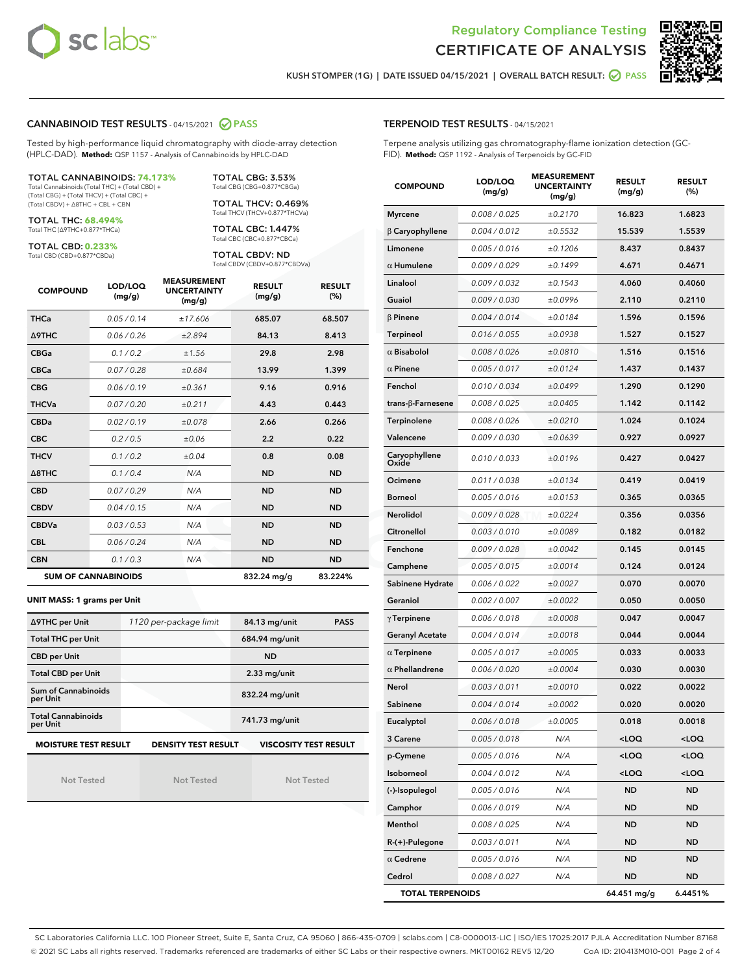



KUSH STOMPER (1G) | DATE ISSUED 04/15/2021 | OVERALL BATCH RESULT: @ PASS

#### CANNABINOID TEST RESULTS - 04/15/2021 2 PASS

Tested by high-performance liquid chromatography with diode-array detection (HPLC-DAD). **Method:** QSP 1157 - Analysis of Cannabinoids by HPLC-DAD

#### TOTAL CANNABINOIDS: **74.173%**

Total Cannabinoids (Total THC) + (Total CBD) + (Total CBG) + (Total THCV) + (Total CBC) + (Total CBDV) + ∆8THC + CBL + CBN

TOTAL THC: **68.494%** Total THC (∆9THC+0.877\*THCa)

TOTAL CBD: **0.233%**

Total CBD (CBD+0.877\*CBDa)

TOTAL CBG: 3.53% Total CBG (CBG+0.877\*CBGa)

TOTAL THCV: 0.469% Total THCV (THCV+0.877\*THCVa)

TOTAL CBC: 1.447% Total CBC (CBC+0.877\*CBCa)

TOTAL CBDV: ND Total CBDV (CBDV+0.877\*CBDVa)

| <b>COMPOUND</b>  | LOD/LOQ<br>(mg/g)          | <b>MEASUREMENT</b><br><b>UNCERTAINTY</b><br>(mg/g) | <b>RESULT</b><br>(mg/g) | <b>RESULT</b><br>(%) |
|------------------|----------------------------|----------------------------------------------------|-------------------------|----------------------|
| <b>THCa</b>      | 0.05/0.14                  | ±17.606                                            | 685.07                  | 68.507               |
| <b>A9THC</b>     | 0.06 / 0.26                | ±2.894                                             | 84.13                   | 8.413                |
| <b>CBGa</b>      | 0.1/0.2                    | ±1.56                                              | 29.8                    | 2.98                 |
| <b>CBCa</b>      | 0.07 / 0.28                | ±0.684                                             | 13.99                   | 1.399                |
| <b>CBG</b>       | 0.06/0.19                  | ±0.361                                             | 9.16                    | 0.916                |
| <b>THCVa</b>     | 0.07/0.20                  | ±0.211                                             | 4.43                    | 0.443                |
| <b>CBDa</b>      | 0.02 / 0.19                | ±0.078                                             | 2.66                    | 0.266                |
| <b>CBC</b>       | 0.2 / 0.5                  | ±0.06                                              | 2.2                     | 0.22                 |
| <b>THCV</b>      | 0.1/0.2                    | ±0.04                                              | 0.8                     | 0.08                 |
| $\triangle$ 8THC | 0.1 / 0.4                  | N/A                                                | <b>ND</b>               | <b>ND</b>            |
| <b>CBD</b>       | 0.07/0.29                  | N/A                                                | <b>ND</b>               | <b>ND</b>            |
| <b>CBDV</b>      | 0.04/0.15                  | N/A                                                | <b>ND</b>               | <b>ND</b>            |
| <b>CBDVa</b>     | 0.03/0.53                  | N/A                                                | <b>ND</b>               | <b>ND</b>            |
| <b>CBL</b>       | 0.06 / 0.24                | N/A                                                | <b>ND</b>               | <b>ND</b>            |
| <b>CBN</b>       | 0.1/0.3                    | N/A                                                | <b>ND</b>               | <b>ND</b>            |
|                  | <b>SUM OF CANNABINOIDS</b> |                                                    | 832.24 mg/g             | 83.224%              |

#### **UNIT MASS: 1 grams per Unit**

| ∆9THC per Unit                        | 1120 per-package limit | 84.13 mg/unit<br><b>PASS</b> |
|---------------------------------------|------------------------|------------------------------|
| <b>Total THC per Unit</b>             |                        | 684.94 mg/unit               |
| <b>CBD per Unit</b>                   |                        | <b>ND</b>                    |
| <b>Total CBD per Unit</b>             |                        | $2.33$ mg/unit               |
| Sum of Cannabinoids<br>per Unit       |                        | 832.24 mg/unit               |
| <b>Total Cannabinoids</b><br>per Unit |                        | 741.73 mg/unit               |
| <b>MOISTURE TEST RESULT</b>           | DENSITY TEST RESULT    | <b>VISCOSITY TEST RESULT</b> |

Not Tested

**MOISTURE TEST RESULT**

Not Tested

Not Tested

#### TERPENOID TEST RESULTS - 04/15/2021

Terpene analysis utilizing gas chromatography-flame ionization detection (GC-FID). **Method:** QSP 1192 - Analysis of Terpenoids by GC-FID

| <b>COMPOUND</b>           | LOD/LOQ<br>(mg/g) | <b>MEASUREMENT</b><br><b>UNCERTAINTY</b><br>(mg/g) | <b>RESULT</b><br>(mg/g)                         | <b>RESULT</b><br>$(\%)$ |
|---------------------------|-------------------|----------------------------------------------------|-------------------------------------------------|-------------------------|
| <b>Myrcene</b>            | 0.008 / 0.025     | ±0.2170                                            | 16.823                                          | 1.6823                  |
| $\beta$ Caryophyllene     | 0.004 / 0.012     | ±0.5532                                            | 15.539                                          | 1.5539                  |
| Limonene                  | 0.005 / 0.016     | ±0.1206                                            | 8.437                                           | 0.8437                  |
| $\alpha$ Humulene         | 0.009 / 0.029     | ±0.1499                                            | 4.671                                           | 0.4671                  |
| Linalool                  | 0.009 / 0.032     | ±0.1543                                            | 4.060                                           | 0.4060                  |
| Guaiol                    | 0.009 / 0.030     | ±0.0996                                            | 2.110                                           | 0.2110                  |
| $\beta$ Pinene            | 0.004 / 0.014     | ±0.0184                                            | 1.596                                           | 0.1596                  |
| <b>Terpineol</b>          | 0.016 / 0.055     | ±0.0938                                            | 1.527                                           | 0.1527                  |
| $\alpha$ Bisabolol        | 0.008 / 0.026     | ±0.0810                                            | 1.516                                           | 0.1516                  |
| $\alpha$ Pinene           | 0.005 / 0.017     | ±0.0124                                            | 1.437                                           | 0.1437                  |
| Fenchol                   | 0.010 / 0.034     | ±0.0499                                            | 1.290                                           | 0.1290                  |
| trans- $\beta$ -Farnesene | 0.008 / 0.025     | ±0.0405                                            | 1.142                                           | 0.1142                  |
| <b>Terpinolene</b>        | 0.008 / 0.026     | ±0.0210                                            | 1.024                                           | 0.1024                  |
| Valencene                 | 0.009 / 0.030     | ±0.0639                                            | 0.927                                           | 0.0927                  |
| Caryophyllene<br>Oxide    | 0.010 / 0.033     | ±0.0196                                            | 0.427                                           | 0.0427                  |
| Ocimene                   | 0.011 / 0.038     | ±0.0134                                            | 0.419                                           | 0.0419                  |
| <b>Borneol</b>            | 0.005 / 0.016     | ±0.0153                                            | 0.365                                           | 0.0365                  |
| Nerolidol                 | 0.009/0.028       | ±0.0224                                            | 0.356                                           | 0.0356                  |
| Citronellol               | 0.003 / 0.010     | ±0.0089                                            | 0.182                                           | 0.0182                  |
| Fenchone                  | 0.009 / 0.028     | ±0.0042                                            | 0.145                                           | 0.0145                  |
| Camphene                  | 0.005 / 0.015     | ±0.0014                                            | 0.124                                           | 0.0124                  |
| Sabinene Hydrate          | 0.006 / 0.022     | ±0.0027                                            | 0.070                                           | 0.0070                  |
| Geraniol                  | 0.002 / 0.007     | ±0.0022                                            | 0.050                                           | 0.0050                  |
| $\gamma$ Terpinene        | 0.006 / 0.018     | ±0.0008                                            | 0.047                                           | 0.0047                  |
| <b>Geranyl Acetate</b>    | 0.004 / 0.014     | ±0.0018                                            | 0.044                                           | 0.0044                  |
| $\alpha$ Terpinene        | 0.005 / 0.017     | ±0.0005                                            | 0.033                                           | 0.0033                  |
| $\alpha$ Phellandrene     | 0.006 / 0.020     | ±0.0004                                            | 0.030                                           | 0.0030                  |
| Nerol                     | 0.003 / 0.011     | ±0.0010                                            | 0.022                                           | 0.0022                  |
| Sabinene                  | 0.004 / 0.014     | ±0.0002                                            | 0.020                                           | 0.0020                  |
| Eucalyptol                | 0.006 / 0.018     | ±0.0005                                            | 0.018                                           | 0.0018                  |
| 3 Carene                  | 0.005 / 0.018     | N/A                                                | <loq< th=""><th><loq< th=""></loq<></th></loq<> | <loq< th=""></loq<>     |
| p-Cymene                  | 0.005 / 0.016     | N/A                                                | <loq< th=""><th><loq< th=""></loq<></th></loq<> | <loq< th=""></loq<>     |
| Isoborneol                | 0.004 / 0.012     | N/A                                                | <loq< th=""><th><loq< th=""></loq<></th></loq<> | <loq< th=""></loq<>     |
| (-)-Isopulegol            | 0.005 / 0.016     | N/A                                                | ND                                              | ND                      |
| Camphor                   | 0.006 / 0.019     | N/A                                                | ND                                              | ND                      |
| Menthol                   | 0.008 / 0.025     | N/A                                                | ND                                              | ND                      |
| R-(+)-Pulegone            | 0.003 / 0.011     | N/A                                                | ND                                              | ND                      |
| $\alpha$ Cedrene          | 0.005 / 0.016     | N/A                                                | ND                                              | ND                      |
| Cedrol                    | 0.008 / 0.027     | N/A                                                | ND                                              | <b>ND</b>               |
| <b>TOTAL TERPENOIDS</b>   |                   |                                                    | 64.451 mg/g                                     | 6.4451%                 |

SC Laboratories California LLC. 100 Pioneer Street, Suite E, Santa Cruz, CA 95060 | 866-435-0709 | sclabs.com | C8-0000013-LIC | ISO/IES 17025:2017 PJLA Accreditation Number 87168 © 2021 SC Labs all rights reserved. Trademarks referenced are trademarks of either SC Labs or their respective owners. MKT00162 REV5 12/20 CoA ID: 210413M010-001 Page 2 of 4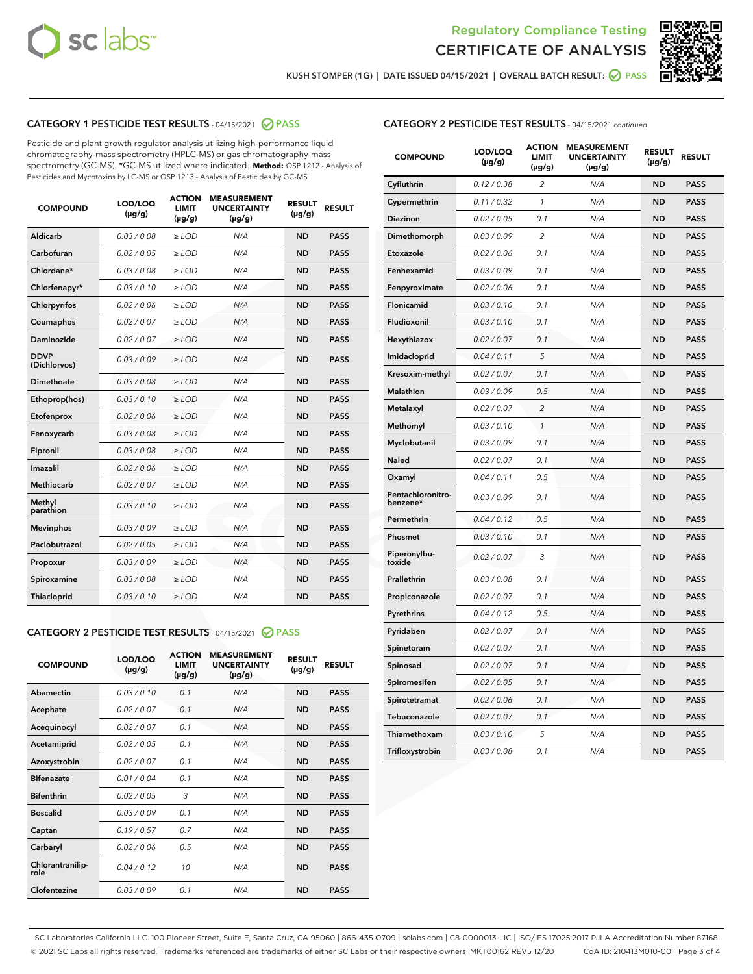



KUSH STOMPER (1G) | DATE ISSUED 04/15/2021 | OVERALL BATCH RESULT: **○** PASS

#### CATEGORY 1 PESTICIDE TEST RESULTS - 04/15/2021 @ PASS

Pesticide and plant growth regulator analysis utilizing high-performance liquid chromatography-mass spectrometry (HPLC-MS) or gas chromatography-mass spectrometry (GC-MS). \*GC-MS utilized where indicated. **Method:** QSP 1212 - Analysis of Pesticides and Mycotoxins by LC-MS or QSP 1213 - Analysis of Pesticides by GC-MS

| <b>COMPOUND</b>             | LOD/LOQ<br>$(\mu g/g)$ | <b>ACTION</b><br><b>LIMIT</b><br>$(\mu g/g)$ | <b>MEASUREMENT</b><br><b>UNCERTAINTY</b><br>$(\mu g/g)$ | <b>RESULT</b><br>$(\mu g/g)$ | <b>RESULT</b> |
|-----------------------------|------------------------|----------------------------------------------|---------------------------------------------------------|------------------------------|---------------|
| Aldicarb                    | 0.03 / 0.08            | $\ge$ LOD                                    | N/A                                                     | <b>ND</b>                    | <b>PASS</b>   |
| Carbofuran                  | 0.02/0.05              | $>$ LOD                                      | N/A                                                     | <b>ND</b>                    | <b>PASS</b>   |
| Chlordane*                  | 0.03 / 0.08            | $\ge$ LOD                                    | N/A                                                     | <b>ND</b>                    | <b>PASS</b>   |
| Chlorfenapyr*               | 0.03/0.10              | $>$ LOD                                      | N/A                                                     | <b>ND</b>                    | <b>PASS</b>   |
| Chlorpyrifos                | 0.02 / 0.06            | $\ge$ LOD                                    | N/A                                                     | <b>ND</b>                    | <b>PASS</b>   |
| Coumaphos                   | 0.02 / 0.07            | $\ge$ LOD                                    | N/A                                                     | <b>ND</b>                    | <b>PASS</b>   |
| Daminozide                  | 0.02 / 0.07            | $\ge$ LOD                                    | N/A                                                     | <b>ND</b>                    | <b>PASS</b>   |
| <b>DDVP</b><br>(Dichlorvos) | 0.03/0.09              | $\ge$ LOD                                    | N/A                                                     | <b>ND</b>                    | <b>PASS</b>   |
| Dimethoate                  | 0.03/0.08              | $>$ LOD                                      | N/A                                                     | <b>ND</b>                    | <b>PASS</b>   |
| Ethoprop(hos)               | 0.03/0.10              | $\ge$ LOD                                    | N/A                                                     | <b>ND</b>                    | <b>PASS</b>   |
| Etofenprox                  | 0.02 / 0.06            | $\ge$ LOD                                    | N/A                                                     | <b>ND</b>                    | <b>PASS</b>   |
| Fenoxycarb                  | 0.03 / 0.08            | $\ge$ LOD                                    | N/A                                                     | <b>ND</b>                    | <b>PASS</b>   |
| Fipronil                    | 0.03/0.08              | $>$ LOD                                      | N/A                                                     | <b>ND</b>                    | <b>PASS</b>   |
| Imazalil                    | 0.02 / 0.06            | $\ge$ LOD                                    | N/A                                                     | <b>ND</b>                    | <b>PASS</b>   |
| <b>Methiocarb</b>           | 0.02 / 0.07            | $\ge$ LOD                                    | N/A                                                     | <b>ND</b>                    | <b>PASS</b>   |
| Methyl<br>parathion         | 0.03/0.10              | $\ge$ LOD                                    | N/A                                                     | <b>ND</b>                    | <b>PASS</b>   |
| <b>Mevinphos</b>            | 0.03/0.09              | $>$ LOD                                      | N/A                                                     | <b>ND</b>                    | <b>PASS</b>   |
| Paclobutrazol               | 0.02 / 0.05            | $\ge$ LOD                                    | N/A                                                     | <b>ND</b>                    | <b>PASS</b>   |
| Propoxur                    | 0.03/0.09              | $\ge$ LOD                                    | N/A                                                     | <b>ND</b>                    | <b>PASS</b>   |
| Spiroxamine                 | 0.03 / 0.08            | $\ge$ LOD                                    | N/A                                                     | <b>ND</b>                    | <b>PASS</b>   |
| Thiacloprid                 | 0.03/0.10              | $\ge$ LOD                                    | N/A                                                     | <b>ND</b>                    | <b>PASS</b>   |

#### CATEGORY 2 PESTICIDE TEST RESULTS - 04/15/2021 @ PASS

| <b>COMPOUND</b>          | LOD/LOQ<br>$(\mu g/g)$ | <b>ACTION</b><br><b>LIMIT</b><br>$(\mu g/g)$ | <b>MEASUREMENT</b><br><b>UNCERTAINTY</b><br>$(\mu g/g)$ | <b>RESULT</b><br>$(\mu g/g)$ | <b>RESULT</b> |
|--------------------------|------------------------|----------------------------------------------|---------------------------------------------------------|------------------------------|---------------|
| Abamectin                | 0.03/0.10              | 0.1                                          | N/A                                                     | <b>ND</b>                    | <b>PASS</b>   |
| Acephate                 | 0.02/0.07              | 0.1                                          | N/A                                                     | <b>ND</b>                    | <b>PASS</b>   |
| Acequinocyl              | 0.02/0.07              | 0.1                                          | N/A                                                     | <b>ND</b>                    | <b>PASS</b>   |
| Acetamiprid              | 0.02/0.05              | 0.1                                          | N/A                                                     | <b>ND</b>                    | <b>PASS</b>   |
| Azoxystrobin             | 0.02/0.07              | 0.1                                          | N/A                                                     | <b>ND</b>                    | <b>PASS</b>   |
| <b>Bifenazate</b>        | 0.01/0.04              | 0.1                                          | N/A                                                     | <b>ND</b>                    | <b>PASS</b>   |
| <b>Bifenthrin</b>        | 0.02 / 0.05            | 3                                            | N/A                                                     | <b>ND</b>                    | <b>PASS</b>   |
| <b>Boscalid</b>          | 0.03/0.09              | 0.1                                          | N/A                                                     | <b>ND</b>                    | <b>PASS</b>   |
| Captan                   | 0.19/0.57              | 0.7                                          | N/A                                                     | <b>ND</b>                    | <b>PASS</b>   |
| Carbaryl                 | 0.02/0.06              | 0.5                                          | N/A                                                     | <b>ND</b>                    | <b>PASS</b>   |
| Chlorantranilip-<br>role | 0.04/0.12              | 10                                           | N/A                                                     | <b>ND</b>                    | <b>PASS</b>   |
| Clofentezine             | 0.03/0.09              | 0.1                                          | N/A                                                     | <b>ND</b>                    | <b>PASS</b>   |

#### CATEGORY 2 PESTICIDE TEST RESULTS - 04/15/2021 continued

| <b>COMPOUND</b>               | LOD/LOQ<br>(µg/g) | <b>ACTION</b><br>LIMIT<br>$(\mu g/g)$ | <b>MEASUREMENT</b><br><b>UNCERTAINTY</b><br>$(\mu g/g)$ | <b>RESULT</b><br>(µg/g) | <b>RESULT</b> |
|-------------------------------|-------------------|---------------------------------------|---------------------------------------------------------|-------------------------|---------------|
| Cyfluthrin                    | 0.12 / 0.38       | $\overline{c}$                        | N/A                                                     | ND                      | <b>PASS</b>   |
| Cypermethrin                  | 0.11 / 0.32       | $\mathcal{I}$                         | N/A                                                     | ND                      | PASS          |
| <b>Diazinon</b>               | 0.02 / 0.05       | 0.1                                   | N/A                                                     | <b>ND</b>               | <b>PASS</b>   |
| Dimethomorph                  | 0.03 / 0.09       | 2                                     | N/A                                                     | ND                      | <b>PASS</b>   |
| Etoxazole                     | 0.02 / 0.06       | 0.1                                   | N/A                                                     | ND                      | <b>PASS</b>   |
| Fenhexamid                    | 0.03 / 0.09       | 0.1                                   | N/A                                                     | <b>ND</b>               | <b>PASS</b>   |
| Fenpyroximate                 | 0.02 / 0.06       | 0.1                                   | N/A                                                     | <b>ND</b>               | <b>PASS</b>   |
| Flonicamid                    | 0.03 / 0.10       | 0.1                                   | N/A                                                     | ND                      | PASS          |
| Fludioxonil                   | 0.03 / 0.10       | 0.1                                   | N/A                                                     | ND                      | <b>PASS</b>   |
| Hexythiazox                   | 0.02 / 0.07       | 0.1                                   | N/A                                                     | ND                      | <b>PASS</b>   |
| Imidacloprid                  | 0.04 / 0.11       | 5                                     | N/A                                                     | ND                      | PASS          |
| Kresoxim-methyl               | 0.02 / 0.07       | 0.1                                   | N/A                                                     | ND                      | <b>PASS</b>   |
| <b>Malathion</b>              | 0.03 / 0.09       | 0.5                                   | N/A                                                     | <b>ND</b>               | <b>PASS</b>   |
| Metalaxyl                     | 0.02 / 0.07       | $\overline{c}$                        | N/A                                                     | ND                      | <b>PASS</b>   |
| Methomyl                      | 0.03 / 0.10       | 1                                     | N/A                                                     | <b>ND</b>               | <b>PASS</b>   |
| Myclobutanil                  | 0.03 / 0.09       | 0.1                                   | N/A                                                     | ND                      | <b>PASS</b>   |
| Naled                         | 0.02 / 0.07       | 0.1                                   | N/A                                                     | ND                      | <b>PASS</b>   |
| Oxamyl                        | 0.04 / 0.11       | 0.5                                   | N/A                                                     | ND                      | PASS          |
| Pentachloronitro-<br>benzene* | 0.03 / 0.09       | 0.1                                   | N/A                                                     | ND                      | <b>PASS</b>   |
| Permethrin                    | 0.04 / 0.12       | 0.5                                   | N/A                                                     | ND                      | <b>PASS</b>   |
| Phosmet                       | 0.03 / 0.10       | 0.1                                   | N/A                                                     | ND                      | PASS          |
| Piperonylbu-<br>toxide        | 0.02 / 0.07       | 3                                     | N/A                                                     | <b>ND</b>               | <b>PASS</b>   |
| Prallethrin                   | 0.03 / 0.08       | 0.1                                   | N/A                                                     | ND                      | <b>PASS</b>   |
| Propiconazole                 | 0.02 / 0.07       | 0.1                                   | N/A                                                     | ND                      | <b>PASS</b>   |
| Pyrethrins                    | 0.04 / 0.12       | 0.5                                   | N/A                                                     | ND                      | PASS          |
| Pyridaben                     | 0.02 / 0.07       | 0.1                                   | N/A                                                     | ND                      | <b>PASS</b>   |
| Spinetoram                    | 0.02 / 0.07       | 0.1                                   | N/A                                                     | ND                      | PASS          |
| Spinosad                      | 0.02 / 0.07       | 0.1                                   | N/A                                                     | ND                      | <b>PASS</b>   |
| Spiromesifen                  | 0.02 / 0.05       | 0.1                                   | N/A                                                     | <b>ND</b>               | <b>PASS</b>   |
| Spirotetramat                 | 0.02 / 0.06       | 0.1                                   | N/A                                                     | ND                      | <b>PASS</b>   |
| Tebuconazole                  | 0.02 / 0.07       | 0.1                                   | N/A                                                     | ND                      | PASS          |
| Thiamethoxam                  | 0.03 / 0.10       | 5                                     | N/A                                                     | ND                      | <b>PASS</b>   |
| Trifloxystrobin               | 0.03 / 0.08       | 0.1                                   | N/A                                                     | <b>ND</b>               | <b>PASS</b>   |

SC Laboratories California LLC. 100 Pioneer Street, Suite E, Santa Cruz, CA 95060 | 866-435-0709 | sclabs.com | C8-0000013-LIC | ISO/IES 17025:2017 PJLA Accreditation Number 87168 © 2021 SC Labs all rights reserved. Trademarks referenced are trademarks of either SC Labs or their respective owners. MKT00162 REV5 12/20 CoA ID: 210413M010-001 Page 3 of 4